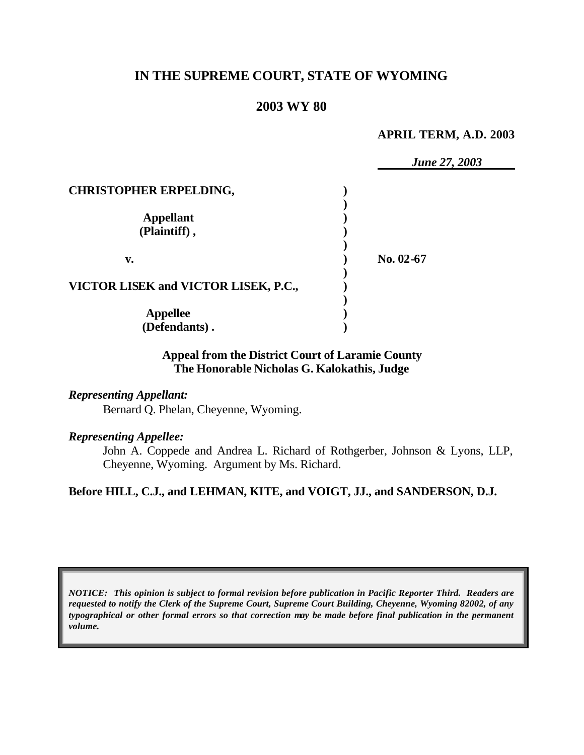# **IN THE SUPREME COURT, STATE OF WYOMING**

### **2003 WY 80**

#### **APRIL TERM, A.D. 2003**

|                                      | <b>June 27, 2003</b> |
|--------------------------------------|----------------------|
| <b>CHRISTOPHER ERPELDING,</b>        |                      |
|                                      |                      |
| <b>Appellant</b>                     |                      |
| (Plaintiff),                         |                      |
| v.                                   | No. 02-67            |
|                                      |                      |
| VICTOR LISEK and VICTOR LISEK, P.C., |                      |
|                                      |                      |
| <b>Appellee</b>                      |                      |
| (Defendants).                        |                      |

### **Appeal from the District Court of Laramie County The Honorable Nicholas G. Kalokathis, Judge**

### *Representing Appellant:*

Bernard Q. Phelan, Cheyenne, Wyoming.

#### *Representing Appellee:*

John A. Coppede and Andrea L. Richard of Rothgerber, Johnson & Lyons, LLP, Cheyenne, Wyoming. Argument by Ms. Richard.

### **Before HILL, C.J., and LEHMAN, KITE, and VOIGT, JJ., and SANDERSON, D.J.**

*NOTICE: This opinion is subject to formal revision before publication in Pacific Reporter Third. Readers are requested to notify the Clerk of the Supreme Court, Supreme Court Building, Cheyenne, Wyoming 82002, of any typographical or other formal errors so that correction may be made before final publication in the permanent volume.*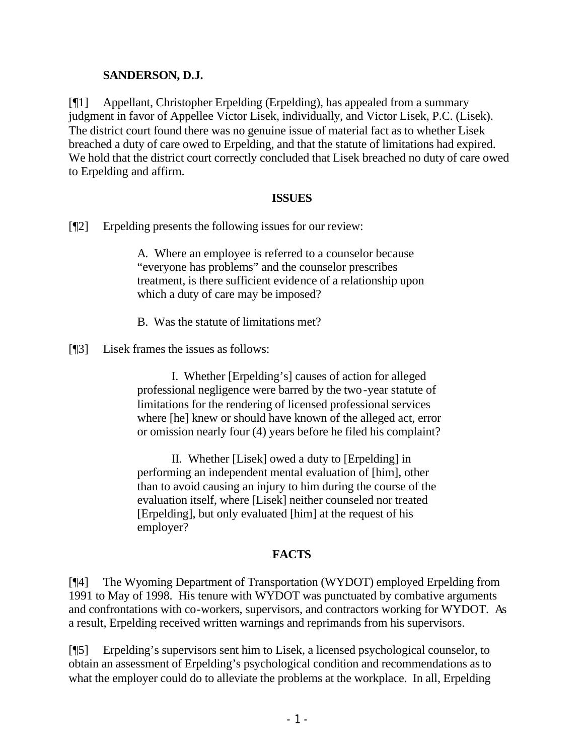## **SANDERSON, D.J.**

[¶1] Appellant, Christopher Erpelding (Erpelding), has appealed from a summary judgment in favor of Appellee Victor Lisek, individually, and Victor Lisek, P.C. (Lisek). The district court found there was no genuine issue of material fact as to whether Lisek breached a duty of care owed to Erpelding, and that the statute of limitations had expired. We hold that the district court correctly concluded that Lisek breached no duty of care owed to Erpelding and affirm.

### **ISSUES**

[¶2] Erpelding presents the following issues for our review:

A. Where an employee is referred to a counselor because "everyone has problems" and the counselor prescribes treatment, is there sufficient evidence of a relationship upon which a duty of care may be imposed?

- B. Was the statute of limitations met?
- [¶3] Lisek frames the issues as follows:

I. Whether [Erpelding's] causes of action for alleged professional negligence were barred by the two-year statute of limitations for the rendering of licensed professional services where [he] knew or should have known of the alleged act, error or omission nearly four (4) years before he filed his complaint?

II. Whether [Lisek] owed a duty to [Erpelding] in performing an independent mental evaluation of [him], other than to avoid causing an injury to him during the course of the evaluation itself, where [Lisek] neither counseled nor treated [Erpelding], but only evaluated [him] at the request of his employer?

## **FACTS**

[¶4] The Wyoming Department of Transportation (WYDOT) employed Erpelding from 1991 to May of 1998. His tenure with WYDOT was punctuated by combative arguments and confrontations with co-workers, supervisors, and contractors working for WYDOT. As a result, Erpelding received written warnings and reprimands from his supervisors.

[¶5] Erpelding's supervisors sent him to Lisek, a licensed psychological counselor, to obtain an assessment of Erpelding's psychological condition and recommendations as to what the employer could do to alleviate the problems at the workplace. In all, Erpelding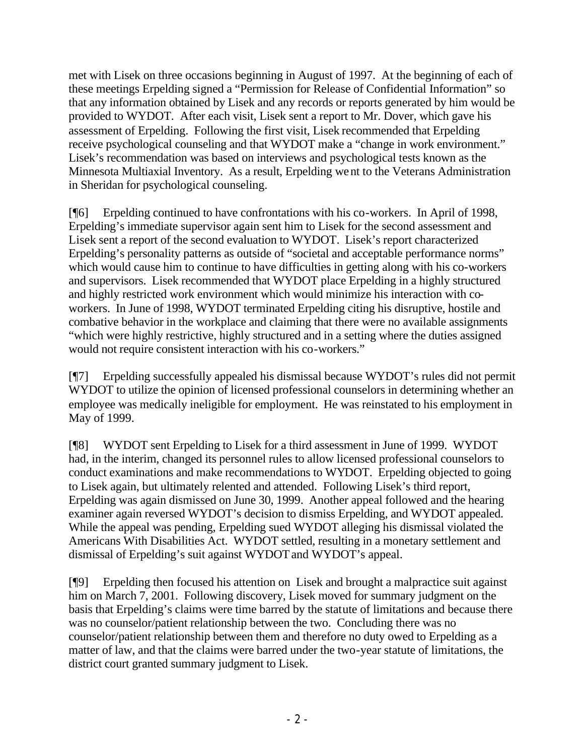met with Lisek on three occasions beginning in August of 1997. At the beginning of each of these meetings Erpelding signed a "Permission for Release of Confidential Information" so that any information obtained by Lisek and any records or reports generated by him would be provided to WYDOT. After each visit, Lisek sent a report to Mr. Dover, which gave his assessment of Erpelding. Following the first visit, Lisek recommended that Erpelding receive psychological counseling and that WYDOT make a "change in work environment." Lisek's recommendation was based on interviews and psychological tests known as the Minnesota Multiaxial Inventory. As a result, Erpelding went to the Veterans Administration in Sheridan for psychological counseling.

[¶6] Erpelding continued to have confrontations with his co-workers. In April of 1998, Erpelding's immediate supervisor again sent him to Lisek for the second assessment and Lisek sent a report of the second evaluation to WYDOT. Lisek's report characterized Erpelding's personality patterns as outside of "societal and acceptable performance norms" which would cause him to continue to have difficulties in getting along with his co-workers and supervisors. Lisek recommended that WYDOT place Erpelding in a highly structured and highly restricted work environment which would minimize his interaction with coworkers. In June of 1998, WYDOT terminated Erpelding citing his disruptive, hostile and combative behavior in the workplace and claiming that there were no available assignments "which were highly restrictive, highly structured and in a setting where the duties assigned would not require consistent interaction with his co-workers."

[¶7] Erpelding successfully appealed his dismissal because WYDOT's rules did not permit WYDOT to utilize the opinion of licensed professional counselors in determining whether an employee was medically ineligible for employment. He was reinstated to his employment in May of 1999.

[¶8] WYDOT sent Erpelding to Lisek for a third assessment in June of 1999. WYDOT had, in the interim, changed its personnel rules to allow licensed professional counselors to conduct examinations and make recommendations to WYDOT. Erpelding objected to going to Lisek again, but ultimately relented and attended. Following Lisek's third report, Erpelding was again dismissed on June 30, 1999. Another appeal followed and the hearing examiner again reversed WYDOT's decision to dismiss Erpelding, and WYDOT appealed. While the appeal was pending, Erpelding sued WYDOT alleging his dismissal violated the Americans With Disabilities Act. WYDOT settled, resulting in a monetary settlement and dismissal of Erpelding's suit against WYDOT and WYDOT's appeal.

[¶9] Erpelding then focused his attention on Lisek and brought a malpractice suit against him on March 7, 2001. Following discovery, Lisek moved for summary judgment on the basis that Erpelding's claims were time barred by the statute of limitations and because there was no counselor/patient relationship between the two. Concluding there was no counselor/patient relationship between them and therefore no duty owed to Erpelding as a matter of law, and that the claims were barred under the two-year statute of limitations, the district court granted summary judgment to Lisek.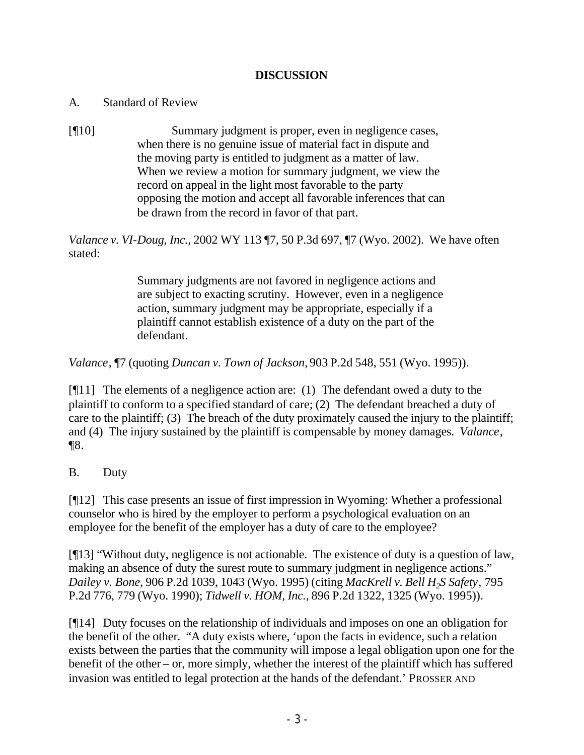## **DISCUSSION**

## A. Standard of Review

[¶10] Summary judgment is proper, even in negligence cases, when there is no genuine issue of material fact in dispute and the moving party is entitled to judgment as a matter of law. When we review a motion for summary judgment, we view the record on appeal in the light most favorable to the party opposing the motion and accept all favorable inferences that can be drawn from the record in favor of that part.

*Valance v. VI-Doug, Inc.,* 2002 WY 113 ¶7, 50 P.3d 697, ¶7 (Wyo. 2002). We have often stated:

> Summary judgments are not favored in negligence actions and are subject to exacting scrutiny. However, even in a negligence action, summary judgment may be appropriate, especially if a plaintiff cannot establish existence of a duty on the part of the defendant.

*Valance*, ¶7 (quoting *Duncan v. Town of Jackson,* 903 P.2d 548, 551 (Wyo. 1995)).

[¶11] The elements of a negligence action are: (1) The defendant owed a duty to the plaintiff to conform to a specified standard of care; (2) The defendant breached a duty of care to the plaintiff; (3) The breach of the duty proximately caused the injury to the plaintiff; and (4) The injury sustained by the plaintiff is compensable by money damages. *Valance*, ¶8.

B. Duty

[¶12] This case presents an issue of first impression in Wyoming: Whether a professional counselor who is hired by the employer to perform a psychological evaluation on an employee for the benefit of the employer has a duty of care to the employee?

[¶13] "Without duty, negligence is not actionable. The existence of duty is a question of law, making an absence of duty the surest route to summary judgment in negligence actions." *Dailey v. Bone*, 906 P.2d 1039, 1043 (Wyo. 1995) (citing *MacKrell v. Bell H2S Safety*, 795 P.2d 776, 779 (Wyo. 1990); *Tidwell v. HOM, Inc.,* 896 P.2d 1322, 1325 (Wyo. 1995)).

[¶14] Duty focuses on the relationship of individuals and imposes on one an obligation for the benefit of the other. "A duty exists where, 'upon the facts in evidence, such a relation exists between the parties that the community will impose a legal obligation upon one for the benefit of the other – or, more simply, whether the interest of the plaintiff which has suffered invasion was entitled to legal protection at the hands of the defendant.' PROSSER AND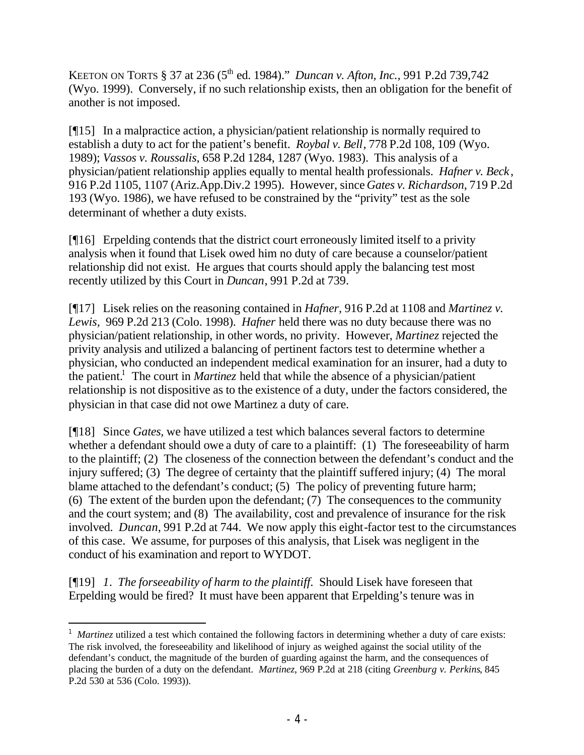KEETON ON TORTS § 37 at 236 (5<sup>th</sup> ed. 1984)." *Duncan v. Afton, Inc.,* 991 P.2d 739,742 (Wyo. 1999). Conversely, if no such relationship exists, then an obligation for the benefit of another is not imposed.

[¶15] In a malpractice action, a physician/patient relationship is normally required to establish a duty to act for the patient's benefit. *Roybal v. Bell*, 778 P.2d 108, 109 (Wyo. 1989); *Vassos v. Roussalis*, 658 P.2d 1284, 1287 (Wyo. 1983). This analysis of a physician/patient relationship applies equally to mental health professionals. *Hafner v. Beck*, 916 P.2d 1105, 1107 (Ariz.App.Div.2 1995). However, since *Gates v. Richardson*, 719 P.2d 193 (Wyo. 1986), we have refused to be constrained by the "privity" test as the sole determinant of whether a duty exists.

[¶16] Erpelding contends that the district court erroneously limited itself to a privity analysis when it found that Lisek owed him no duty of care because a counselor/patient relationship did not exist. He argues that courts should apply the balancing test most recently utilized by this Court in *Duncan*, 991 P.2d at 739.

[¶17] Lisek relies on the reasoning contained in *Hafner,* 916 P.2d at 1108 and *Martinez v. Lewis,* 969 P.2d 213 (Colo. 1998). *Hafner* held there was no duty because there was no physician/patient relationship, in other words, no privity. However, *Martinez* rejected the privity analysis and utilized a balancing of pertinent factors test to determine whether a physician, who conducted an independent medical examination for an insurer, had a duty to the patient.<sup>1</sup> The court in *Martinez* held that while the absence of a physician/patient relationship is not dispositive as to the existence of a duty, under the factors considered, the physician in that case did not owe Martinez a duty of care.

[¶18] Since *Gates,* we have utilized a test which balances several factors to determine whether a defendant should owe a duty of care to a plaintiff: (1) The foreseeability of harm to the plaintiff; (2) The closeness of the connection between the defendant's conduct and the injury suffered; (3) The degree of certainty that the plaintiff suffered injury; (4) The moral blame attached to the defendant's conduct; (5) The policy of preventing future harm; (6) The extent of the burden upon the defendant; (7) The consequences to the community and the court system; and (8) The availability, cost and prevalence of insurance for the risk involved. *Duncan*, 991 P.2d at 744. We now apply this eight-factor test to the circumstances of this case. We assume, for purposes of this analysis, that Lisek was negligent in the conduct of his examination and report to WYDOT.

[¶19] *1. The forseeability of harm to the plaintiff*. Should Lisek have foreseen that Erpelding would be fired? It must have been apparent that Erpelding's tenure was in

<sup>&</sup>lt;sup>1</sup> Martinez utilized a test which contained the following factors in determining whether a duty of care exists: The risk involved, the foreseeability and likelihood of injury as weighed against the social utility of the defendant's conduct, the magnitude of the burden of guarding against the harm, and the consequences of placing the burden of a duty on the defendant. *Martinez*, 969 P.2d at 218 (citing *Greenburg v. Perkins*, 845 P.2d 530 at 536 (Colo. 1993)).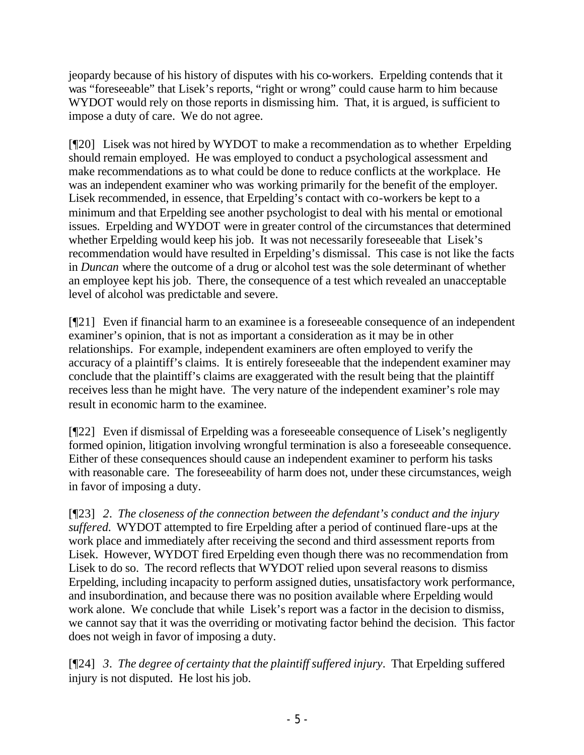jeopardy because of his history of disputes with his co-workers. Erpelding contends that it was "foreseeable" that Lisek's reports, "right or wrong" could cause harm to him because WYDOT would rely on those reports in dismissing him. That, it is argued, is sufficient to impose a duty of care. We do not agree.

[¶20] Lisek was not hired by WYDOT to make a recommendation as to whether Erpelding should remain employed. He was employed to conduct a psychological assessment and make recommendations as to what could be done to reduce conflicts at the workplace. He was an independent examiner who was working primarily for the benefit of the employer. Lisek recommended, in essence, that Erpelding's contact with co-workers be kept to a minimum and that Erpelding see another psychologist to deal with his mental or emotional issues. Erpelding and WYDOT were in greater control of the circumstances that determined whether Erpelding would keep his job. It was not necessarily foreseeable that Lisek's recommendation would have resulted in Erpelding's dismissal. This case is not like the facts in *Duncan* where the outcome of a drug or alcohol test was the sole determinant of whether an employee kept his job. There, the consequence of a test which revealed an unacceptable level of alcohol was predictable and severe.

[¶21] Even if financial harm to an examinee is a foreseeable consequence of an independent examiner's opinion, that is not as important a consideration as it may be in other relationships. For example, independent examiners are often employed to verify the accuracy of a plaintiff's claims. It is entirely foreseeable that the independent examiner may conclude that the plaintiff's claims are exaggerated with the result being that the plaintiff receives less than he might have. The very nature of the independent examiner's role may result in economic harm to the examinee.

[¶22] Even if dismissal of Erpelding was a foreseeable consequence of Lisek's negligently formed opinion, litigation involving wrongful termination is also a foreseeable consequence. Either of these consequences should cause an independent examiner to perform his tasks with reasonable care. The foreseeability of harm does not, under these circumstances, weigh in favor of imposing a duty.

[¶23] *2. The closeness of the connection between the defendant's conduct and the injury suffered.* WYDOT attempted to fire Erpelding after a period of continued flare-ups at the work place and immediately after receiving the second and third assessment reports from Lisek. However, WYDOT fired Erpelding even though there was no recommendation from Lisek to do so. The record reflects that WYDOT relied upon several reasons to dismiss Erpelding, including incapacity to perform assigned duties, unsatisfactory work performance, and insubordination, and because there was no position available where Erpelding would work alone. We conclude that while Lisek's report was a factor in the decision to dismiss, we cannot say that it was the overriding or motivating factor behind the decision. This factor does not weigh in favor of imposing a duty.

[¶24] *3. The degree of certainty that the plaintiff suffered injury*. That Erpelding suffered injury is not disputed. He lost his job.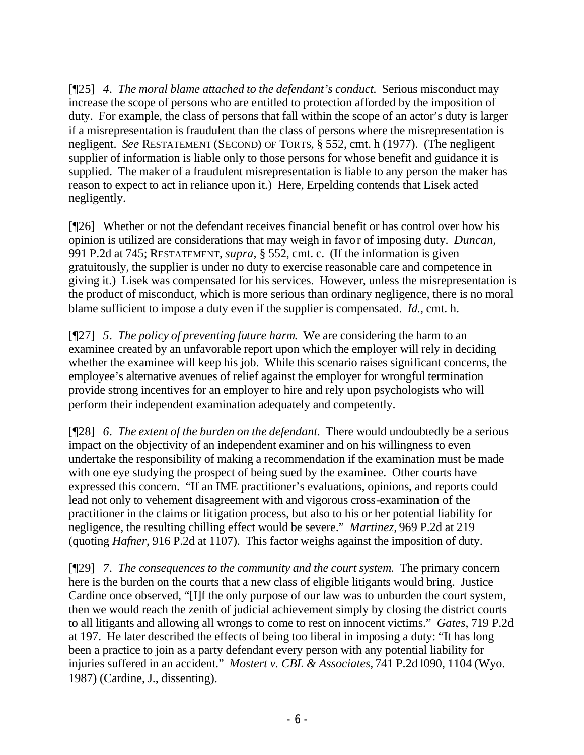[¶25] *4. The moral blame attached to the defendant's conduct.* Serious misconduct may increase the scope of persons who are entitled to protection afforded by the imposition of duty. For example, the class of persons that fall within the scope of an actor's duty is larger if a misrepresentation is fraudulent than the class of persons where the misrepresentation is negligent. *See* RESTATEMENT (SECOND) OF TORTS*,* § 552, cmt. h (1977). (The negligent supplier of information is liable only to those persons for whose benefit and guidance it is supplied. The maker of a fraudulent misrepresentation is liable to any person the maker has reason to expect to act in reliance upon it.) Here, Erpelding contends that Lisek acted negligently.

[¶26] Whether or not the defendant receives financial benefit or has control over how his opinion is utilized are considerations that may weigh in favor of imposing duty. *Duncan,* 991 P.2d at 745; RESTATEMENT, *supra,* § 552, cmt. c. (If the information is given gratuitously, the supplier is under no duty to exercise reasonable care and competence in giving it.) Lisek was compensated for his services. However, unless the misrepresentation is the product of misconduct, which is more serious than ordinary negligence, there is no moral blame sufficient to impose a duty even if the supplier is compensated. *Id.,* cmt. h.

[¶27] *5. The policy of preventing future harm*. We are considering the harm to an examinee created by an unfavorable report upon which the employer will rely in deciding whether the examinee will keep his job. While this scenario raises significant concerns, the employee's alternative avenues of relief against the employer for wrongful termination provide strong incentives for an employer to hire and rely upon psychologists who will perform their independent examination adequately and competently.

[¶28] *6. The extent of the burden on the defendant.* There would undoubtedly be a serious impact on the objectivity of an independent examiner and on his willingness to even undertake the responsibility of making a recommendation if the examination must be made with one eye studying the prospect of being sued by the examinee. Other courts have expressed this concern. "If an IME practitioner's evaluations, opinions, and reports could lead not only to vehement disagreement with and vigorous cross-examination of the practitioner in the claims or litigation process, but also to his or her potential liability for negligence, the resulting chilling effect would be severe." *Martinez,* 969 P.2d at 219 (quoting *Hafner*, 916 P.2d at 1107). This factor weighs against the imposition of duty.

[¶29] *7. The consequences to the community and the court system.* The primary concern here is the burden on the courts that a new class of eligible litigants would bring. Justice Cardine once observed, "[I]f the only purpose of our law was to unburden the court system, then we would reach the zenith of judicial achievement simply by closing the district courts to all litigants and allowing all wrongs to come to rest on innocent victims." *Gates*, 719 P.2d at 197. He later described the effects of being too liberal in imposing a duty: "It has long been a practice to join as a party defendant every person with any potential liability for injuries suffered in an accident." *Mostert v. CBL & Associates,* 741 P.2d l090, 1104 (Wyo. 1987) (Cardine, J., dissenting).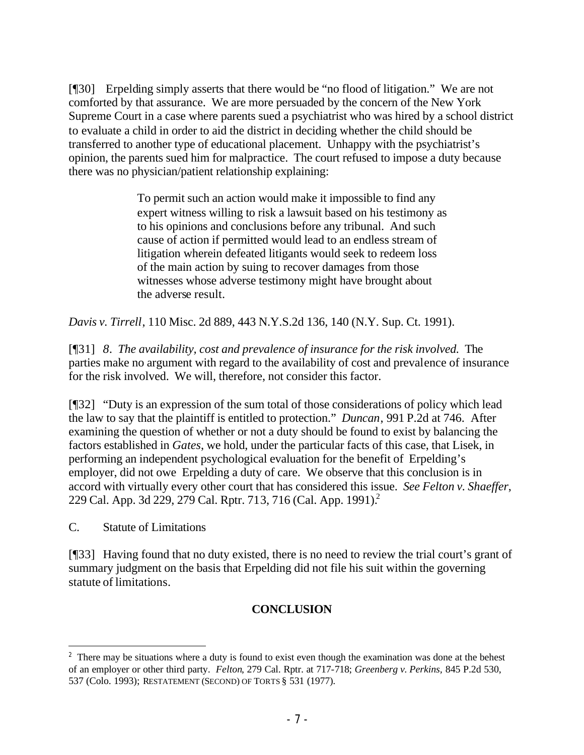[¶30] Erpelding simply asserts that there would be "no flood of litigation." We are not comforted by that assurance. We are more persuaded by the concern of the New York Supreme Court in a case where parents sued a psychiatrist who was hired by a school district to evaluate a child in order to aid the district in deciding whether the child should be transferred to another type of educational placement. Unhappy with the psychiatrist's opinion, the parents sued him for malpractice. The court refused to impose a duty because there was no physician/patient relationship explaining:

> To permit such an action would make it impossible to find any expert witness willing to risk a lawsuit based on his testimony as to his opinions and conclusions before any tribunal. And such cause of action if permitted would lead to an endless stream of litigation wherein defeated litigants would seek to redeem loss of the main action by suing to recover damages from those witnesses whose adverse testimony might have brought about the adverse result.

*Davis v. Tirrell*, 110 Misc. 2d 889, 443 N.Y.S.2d 136, 140 (N.Y. Sup. Ct. 1991).

[¶31] *8. The availability, cost and prevalence of insurance for the risk involved.* The parties make no argument with regard to the availability of cost and prevalence of insurance for the risk involved. We will, therefore, not consider this factor.

[¶32] "Duty is an expression of the sum total of those considerations of policy which lead the law to say that the plaintiff is entitled to protection." *Duncan*, 991 P.2d at 746. After examining the question of whether or not a duty should be found to exist by balancing the factors established in *Gates*, we hold, under the particular facts of this case, that Lisek, in performing an independent psychological evaluation for the benefit of Erpelding's employer, did not owe Erpelding a duty of care. We observe that this conclusion is in accord with virtually every other court that has considered this issue. *See Felton v. Shaeffer*, 229 Cal. App. 3d 229, 279 Cal. Rptr. 713, 716 (Cal. App. 1991).<sup>2</sup>

C. Statute of Limitations

[¶33] Having found that no duty existed, there is no need to review the trial court's grant of summary judgment on the basis that Erpelding did not file his suit within the governing statute of limitations.

# **CONCLUSION**

 $2<sup>2</sup>$  There may be situations where a duty is found to exist even though the examination was done at the behest of an employer or other third party. *Felton*, 279 Cal. Rptr. at 717-718; *Greenberg v. Perkins,* 845 P.2d 530, 537 (Colo. 1993); RESTATEMENT (SECOND) OF TORTS § 531 (1977).